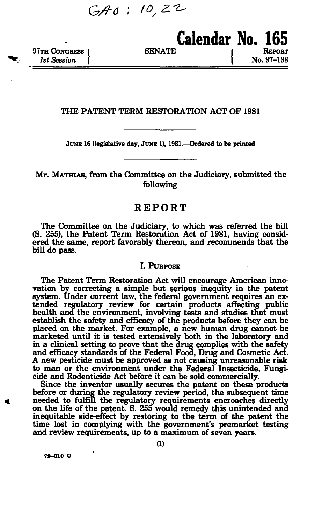$G A 0: 10, 22$ 

**97TH CONGRESS 1** SENATE *1st Session* **J | No. 97-138** 

### **THE PATENT TERM RESTORATION ACT OF 1981**

**JUNE 16 (legislative day, JUNE 1), 1981.—Ordered to be printed** 

**Mr. MATHIAS, from the Committee on the Judiciary, submitted the following** 

# **REPORT**

**The Committee on the Judiciary, to which was referred the bill (S. 255), the Patent Term Restoration Act of 1981, having considered the same, report favorably thereon, and recommends that the bill do pass.** 

### **I. PURPOSE**

**The Patent Term Restoration Act will encourage American innovation by correcting a simple but serious inequity in the patent system. Under current law, the federal government requires an extended regulatory review for certain products affecting public health and the environment, involving tests and studies that must establish the safety and efficacy of the products before they can be placed on the market. For example, a new human drug cannot be marketed until it is tested extensively both in the laboratory and in a clinical setting to prove that the drug complies with the safety and efficacy standards of the Federal Food, Drug and Cosmetic Act. A new pesticide must be approved as not causing unreasonable risk to man or the environment under the Federal Insecticide, Fungicide and Rodenticide Act before it can be sold commercially.** 

**Since the inventor usually secures the patent on these products before or during the regulatory review period, the subsequent time needed to fulfill the regulatory requirements encroaches directly on the life of the patent. S. 255 would remedy this unintended and inequitable side-effect by restoring to the term of the patent the time lost in complying with the government's premarket testing and review requirements, up to a maximum of seven years.** 

**79-010 O**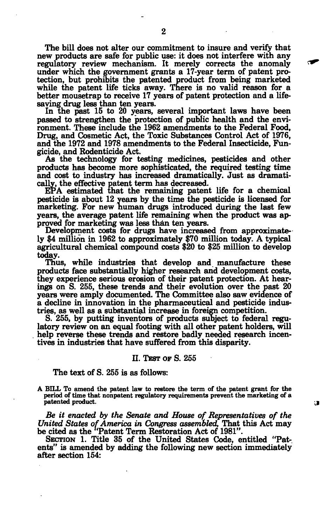**The bill does not alter our commitment to insure and verify that new products are safe for public use: it does not interfere with any regulatory review mechanism. It merely corrects the anomaly under which the government grants a 17-year term of patent protection, but prohibits the patented product from being marketed while the patent life ticks away. There is no valid reason for a better mousetrap to receive 17 years of patent protection and a lifesaving drug less than ten years.** 

**In the past 15 to 20 years, several important laws have been passed to strengthen the protection of public health and the environment. These include the 1962 amendments to the Federal Food, Drug, and Cosmetic Act, the Toxic Substances Control Act of 1976, and the 1972 and 1978 amendments to the Federal Insecticide, Fungicide, and Rodenticide Act.** 

**As the technology for testing medicines, pesticides and other products has become more sophisticated, the required testing time and cost to industry has increased dramatically. Just as dramatically, the effective patent term has decreased.** 

**EPA estimated that the remaining patent life for a chemical pesticide is about 12 years by the time the pesticide is licensed for marketing. For new human drugs introduced during the last few years, the average patent life remaining when the product was approved for marketing was less than ten years.** 

**Development costs for drugs have increased from approximately \$4 million in 1962 to approximately \$70 million today. A typical agricultural chemical compound costs \$20 to \$25 million to develop today.** 

**Thus, while industries that develop and manufacture these products face substantially higher research and development costs, they experience serious erosion of their patent protection. At hearings on S. 255, these trends and their evolution over the past 20 years were amply documented. The Committee also saw evidence of a decline in innovation in the pharmaceutical and pesticide industries, as well as a substantial increase in foreign competition.** 

**S. 255, by putting inventors of products subject to federal regulatory review on an equal footing with all other patent holders, will help reverse these trends and restore badly needed research incentives in industries that have suffered from this disparity.** 

#### **II. TEST OF S. 255**

### **The text of S. 255 is as follows:**

**A BILL To amend the patent law to restore the term of the patent grant for the period of time that nonpatent regulatory requirements prevent the marketing of a patented product.** 

 $\mathbf{r}$ 

*Be it enacted by the Senate and House of Representatives of the United States of America in Congress assembled,* **That this Act may**  be cited as the "Patent Term Restoration Act of 1981".

**SECTION 1. Title 35 of the United States Code, entitled "Patents" is amended by adding the following new section immediately after section 154:**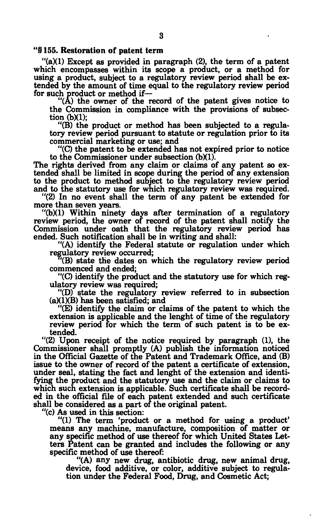### **"§ 155. Restoration of patent term**

**"(a)(1) Except as provided in paragraph (2), the term of a patent which encompasses within its scope a product, or a method for using a product, subject to a regulatory review period shall be extended by the amount of time equal to the regulatory review period for such product or method if—** 

**"(A) the owner of the record of the patent gives notice to the Commission in compliance with the provisions of subsection (b)(1);** 

**"(B) the product or method has been subjected to a regulatory review period pursuant to statute or regulation prior to its commercial marketing or use; and** 

**"(C) the patent to be extended has not expired prior to notice**  to the Commissioner under subsection (b)(1).

**The rights derived from any claim or claims of any patent so extended shall be limited in scope during the period of any extension to the product to method subject to the regulatory review period and to the statutory use for which regulatory review was required.** 

**"(2) In no event shall the term of any patent be extended for more than seven years.** 

**"(b)(1) Within ninety days after termination of a regulatory review period, the owner of record of the patent shall notify the Commission under oath that the regulatory review period has ended. Such notification shall be in writing and shall:** 

**"(A) identify the Federal statute or regulation under which regulatory review occurred;** 

**(B) state the dates on which the regulatory review period commenced and ended;** 

**"(C) identify the product and the statutory use for which regulatory review was required;** 

**"(D) state the regulatory review referred to in subsection (a)(1)(B) has been satisfied; and** 

**"(E) identify the claim or claims of the patent to which the extension is applicable and the lenght of time of the regulatory review period for which the term of such patent is to be extended.** 

**"(2) Upon receipt of the notice required by paragraph (1), the Commissioner shall promptly (A) publish the information noticed in the Official Gazette of the Patent and Trademark Office, and (B) issue to the owner of record of the patent a certificate of extension, under seal, stating the fact and lenght of the extension and identifying the product and the statutory use and the claim or claims to which such extension is applicable. Such certificate shall be recorded in the official file of each patent extended and such certificate shall be considered as a part of the original patent.** 

**"(c) As used in this section:** 

**"(1) The term 'product or a method for using a product' means any machine, manufacture, composition of matter or any specific method of use thereof for which United States Letters Patent can be granted and includes the following or any specific method of use thereof:** 

**"(A) any new drug, antibiotic drug, new animal drug, device, food additive, or color, additive subject to regulation under the Federal Food, Drug, and Cosmetic Act;**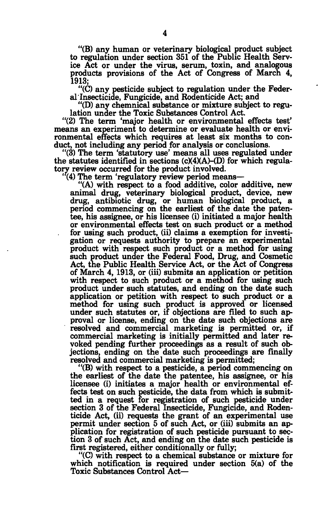**"(B) any human or veterinary biological product subject to regulation under section 351 of the Public Health Service Act or under the virus, serum, toxin, and analogous products provisions of the Act of Congress of March 4, 1913;** 

**"(C) any pesticide subject to regulation under the Federal Insecticide, Fungicide, and Rodenticide Act; and** 

**"(D) any chemnical substance or mixture subject to regulation under the Toxic Substances Control Act.** 

**"(2) The term 'major health or environmental effects test' means an experiment to determine or evaluate health or environmental effects which requires at least six months to conduct, not including any period for analysis or conclusions.** 

**"(3) The term 'statutory use' means all uses regulated under**  the statutes identified in sections  $(c)(4)(A)$ –(D) for which regula**tory review occurred for the product involved.** 

**(4) The term 'regulatory review period means—** 

**"(A) with respect to a food additive, color additive, new animal drug, veterinary biological product, device, new drug, antibiotic drug, or human biological product, a period commencing on the earliest of the date the patentee, his assignee, or his licensee (i) initiated a major health or environmental effects test on such product or a method for using such product, (ii) claims a exemption for investigation or requests authority to prepare an experimental product with respect such product or a method for using such product under the Federal Food, Drug, and Cosmetic Act, the Public Health Service Act, or the Act of Congress of March 4, 1913, or (iii) submits an application or petition with respect to such product or a method for using such product under such statutes, and ending on the date such application or petition with respect to such product or a method for using such product is approved or licensed under such statutes or, if objections are filed to such approval or license, ending on the date such objections are resolved and commercial marketing is permitted or, if commercial marketing is initially permitted and later revoked pending further proceedings as a result of such objections, ending on the date such proceedings are finally resolved and commercial marketing is permitted;** 

**"(B) with respect to a pesticide, a period commencing on the earliest of the date the patentee, his assignee, or his licensee (i) initiates a major health or environmental effects test on such pesticide, the data from which is submitted in a request for registration of such pesticide under section 3 of the Federal Insecticide, Fungicide, and Rodenticide Act, (ii) requests the grant of an experimental use permit under section 5 of such Act, or (iii) submits an application for registration of such pesticide pursuant to section 3 of such Act, and ending on the date such pesticide is first registered, either conditionally or fully;** 

**"(C) with respect to a chemical substance or mixture for which notification is required under section 5(a) of the Toxic Substances Control Act—**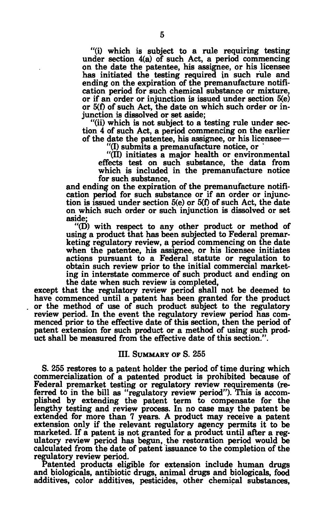**"(i) which is subject to a rule requiring testing under section 4(a) of such Act, a period commencing on the date the patentee, his assignee, or his licensee has initiated the testing required in such rule and ending on the expiration of the premanufacture notification period for such chemical substance or mixture, or if an order or injunction is issued under section 5(e) or 5(f) of such Act, the date on which such order or injunction is dissolved or set aside;** 

**"(ii) which is not subject to a testing rule under section 4 of such Act, a period commencing on the earlier of the date the patentee, his assignee, or his licensee—** 

**"(I) submits a premanufacture notice, or** 

**"(II) initiates a major health or environmental effects test on such substance, the data from which is included in the premanufacture notice for such substance,** 

**and ending on the expiration of the premanufacture notification period for such substance or if an order or injunction is issued under section 5(e) or 5(f) of such Act, the date on which such order or such injunction is dissolved or set aside;** 

**"(D) with respect to any other product or method of using a product that has been subjected to Federal premarketing regulatory review, a period commencing on the date when the patentee, his assignee, or his licensee initiates actions pursuant to a Federal statute or regulation to obtain such review prior to the initial commercial marketing in interstate commerce of such product and ending on the date when such review is completed,** 

**except that the regulatory review period shall not be deemed to have commenced until a patent has been granted for the product or the method of use of such product subject to the regulatory review period. In the event the regulatory review period has commenced prior to the effective date of this section, then the period of patent extension for such product or a method of using such product shall be measured from the effective date of this section.".** 

### **III. SUMMARY OF S. 255**

**S. 255 restores to a patent holder the period of time during which commercialization of a patented product is prohibited because of Federal premarket testing or regulatory review requirements (referred to in the bill as "regulatory review period"). This is accomplished by extending the patent term to compensate for the lengthy testing and review process. In no case may the patent be extended for more than 7 years. A product may receive a patent extension only if the relevant regulatory agency permits it to be marketed. If a patent is not granted for a product until after a regulatory review period has begun, the restoration period would be calculated from the date of patent issuance to the completion of the regulatory review period.** 

**Patented products eligible for extension include human drugs and biologicals, antibiotic drugs, animal drugs and biologicals, food additives, color additives, pesticides, other chemical substances,**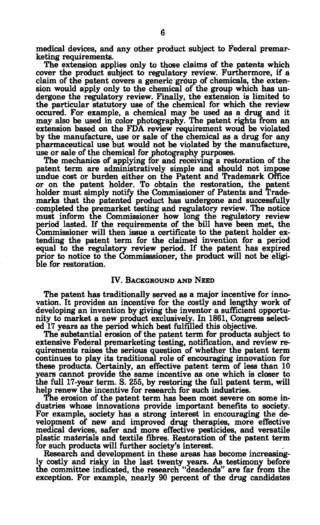**medical devices, and any other product subject to Federal premarketing requirements.** 

**The extension applies only to those claims of the patents which cover the product subject to regulatory review. Furthermore, if a claim of the patent covers a generic group of chemicals, the extension would apply only to the chemical of the group which has undergone the regulatory review. Finally, the extension is limited to the particular statutory use of the chemical for which the review occured. For example, a chemical may be used as a drug and it may also be used in color photography. The patent rights from an extension based on the FDA review requirement woud be violated by the manufacture, use or sale of the chemical as a drug for any pharmaceutical use but would not be violated by the manufacture, use or sale of the chemical for photography purposes.** 

**The mechanics of applying for and receiving a restoration of the patent term are administratively simple and should not impose undue cost or burden either on the Patent and Trademark Office or on the patent holder. To obtain the restoration, the patent holder must simply notify the Commissioner of Patents and Trademarks that the patented product has undergone and successfully completed the premarket testing and regulatory review. The notice must inform the Commissioner how long the regulatory review period lasted. If the requirements of the bill have been met, the Commissioner will then issue a certificate to the patent holder extending the patent term for the claimed invention for a period equal to the regulatory review period. If the patent has expired prior to notice to the Commisssioner, the product will not be eligible for restoration.** 

## **IV. BACKGROUND AND NEED**

**The patent has traditionally served as a major incentive for innovation. It provides an incentive for the costly and lengthy work of developing an invention by giving the inventor a sufficient opportunity to market a new product exclusively. In 1861, Congress selected 17 years as the period which best fulfilled this objective.** 

**The substantial erosion of the patent term for products subject to extensive Federal premarketing testing, notification, and review requirements raises the serious question of whether the patent term continues to play its traditional role of encouraging innovation for these products. Certainly, an effective patent term of less than 10 years cannot provide the same incentive as one which is closer to the full 17-year term. S. 255, by restoring the full patent term, will help renew the incentive for research for such industries.** 

**The erosion of the patent term has been most severe on some industries whose innovations provide important benefits to society. For example, society has a strong interest in encouraging the development of new and improved drug therapies, more effective medical devices, safer and more effective pesticides, and versatile plastic materials and textile fibres. Restoration of the patent term for such products will further society's interest.** 

**Research and development in these areas has become increasingly costly and risky in the last twenty years. As testimony before the committee indicated, the research "deadends" are far from the exception. For example, nearly 90 percent of the drug candidates**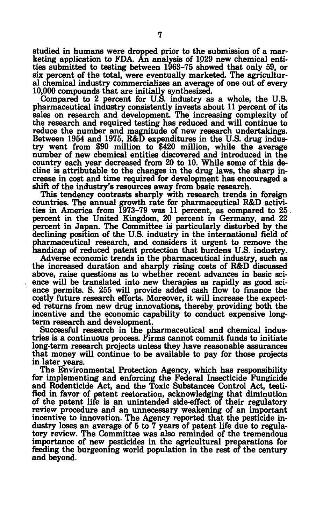**studied in humans were dropped prior to the submission of a marketing application to FDA. An analysis of 1029 new chemical entities submitted to testing between 1963-75 showed that only 59, or six percent of the total, were eventually marketed. The agricultural chemical industry commercializes an average of one out of every 10,000 compounds that are initially synthesized.** 

**Compared to 2 percent for U.S. industry as a whole, the U.S. pharmaceutical industry consistently invests about 11 percent of its sales on research and development. The increasing complexity of the research and required testing has reduced and will continue to reduce the number and magnitude of new research undertakings. Between 1954 and 1975, R&D expenditures in the U.S. drug industry went from \$90 million to \$420 million, while the average number of new chemical entities discovered and introduced in the country each year decreased from 20 to 10. While some of this decline is attributable to the changes in the drug laws, the sharp increase in cost and time required for development has encouraged a shift of the industry's resources away from basic research.** 

**This tendency contrasts sharply with research trends in foreign countries. The annual growth rate for pharmaceutical R&D activities in America from 1973-79 was 11 percent, as compared to 25 • percent in the United Kingdom, 20 percent in Germany, and 22 percent in Japan. The Committee is particularly disturbed by the declining position of the U.S. industry in the international field of pharmaceutical research, and considers it urgent to remove the handicap of reduced patent protection that burdens U.S. industry.** 

**Adverse economic trends in the pharmaceutical industry, such as the increased duration and sharply rising costs of R&D discussed above, raise questions as to whether recent advances in basic science will be translated into new therapies as rapidly as good science permits. S. 255 will provide added cash flow to finance the costly future research efforts. Moreover, it will increase the expected returns from new drug innovations, thereby, providing both the incentive and the economic capability to conduct expensive longterm research and development.** 

**Successful research in the pharmaceutical and chemical industries is a continuous process. Firms cannot commit funds to initiate long-term research projects unless they have reasonable assurances that money will continue to be available to pay for those projects in later years.** 

**The Environmental Protection Agency, which has responsibility for implementing and enforcing the Federal Insecticide Fungicide and Rodenticide Act, and the Toxic Substances Control Act, testified in favor of patent restoration, acknowledging that diminution of the patent life is an unintended side-effect of their regulatory review procedure and an unnecessary weakening of an important incentive to innovation. The Agency reported that the pesticide industry loses an average of 5 to 7 years of patent life due to regulatory review. The Committee was also reminded of the tremendous importance of new pesticides in the agricultural preparations for feeding the burgeoning world population in the rest of the century and beyond.**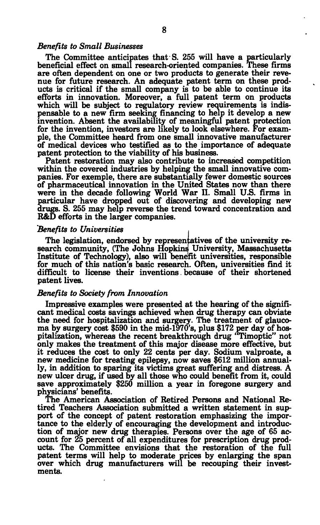### *Benefits to Small Businesses*

**The Committee anticipates that S. 255 will have a particularly beneficial effect on small research-oriented companies. These firms are often dependent on one or two products to generate their revenue for future research. An adequate patent term on these products is critical if the small company is to be able to continue its efforts in innovation. Moreover, a full patent term on products which will be subject to regulatory review requirements is indispensable to a new firm seeking financing to help it develop a new invention. Absent the availability of meaningful patent protection for the invention, investors are likely to look elsewhere. For example, the Committee heard from one small innovative manufacturer of medical devices who testified as to the importance of adequate patent protection to the viability of his business.** 

**Patent restoration may also contribute to increased competition within the covered industries by helping the small innovative companies. For exemple, there are substantially fewer domestic sources of pharmaceutical innovation in the United States now than there were in the decade following World War II. Small U.S. firms in particular have dropped out of discovering and developing new drugs. S. 255 may help reverse the trend toward concentration and R&D efforts in the larger companies.** 

#### *Benefits to Universities* **,**

**The legislation, endorsed by representatives of the university research community, (The Johns Hopkins University, Massachusetts Institute of Technology), also will benefit universities, responsible for much of this nation's basic research. Often, universities find it difficult to license their inventions. because of their shortened patent lives.** 

#### *Benefits to Society from Innovation*

**Impressive examples were presented at the hearing of the significant medical costs savings achieved when drug therapy can obviate the need for hospitalization and surgery. The treatment of glaucoma by surgery cost \$590 in the mid-1970's, plus \$172 per day of hospitalization, whereas the recent breakthrough drug ' Timoptic" not only makes the treatment of this major disease more effective, but it reduces the cost to only 22 cents per day. Sodium valproate, a new medicine for treating epilepsy, now saves \$612 million annually, in addition to sparing its victims great suffering and distress. A new ulcer drug, if used by all those who could benefit from it, could save approximately \$250 million a year in foregone surgery and physicians' benefits.** 

**The American Association of Retired Persons and National Retired Teachers Association submitted a written statement in support of the concept of patent restoration emphasizing the importance to the elderly of encouraging the development and introduction of major new drug therapies. Persons over the age of 65 account for 25 percent of all expenditures for prescription drug products. The Committee envisions that the restoration of the full patent terms will help to moderate prices by enlarging the span over which drug manufacturers will be recouping their investments.**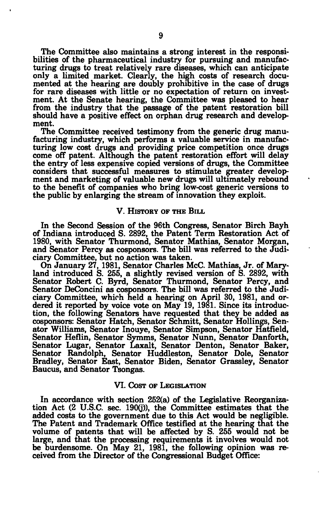**The Committee also maintains a strong interest in the responsibilities of the pharmaceutical industry for pursuing and manufacturing drugs to treat relatively rare diseases, which can anticipate only a limited market. Clearly, the high costs of research documented at the hearing are doubly prohibitive in the case of drugs for rare diseases with little or no expectation of return on investment. At the Senate hearing, the Committee was pleased to hear from the industry that the passage of the patent restoration bill should have a positive effect on orphan drug research and development.** 

**The Committee received testimony from the generic drug manufacturing industry, which performs a valuable service in manufacturing low cost drugs and providing price competition once drugs come off patent. Although the patent restoration effort will delay the entry of less expensive copied versions of drugs, the Committee considers that successful measures to stimulate greater development and marketing of valuable new drugs will ultimately rebound to the benefit of companies who bring low-cost generic versions to the public by enlarging the stream of innovation they exploit.** 

#### **V. HISTORY OF THE BILL**

**In the Second Session of the 96th Congress, Senator Birch Bayh of Indiana introduced S. 2892, the Patent Term Restoration Act of 1980, with Senator Thurmond, Senator Mathias, Senator Morgan, and Senator Percy as cosponsors. The bill was referred to the Judiciary Committee, but no action was taken.** 

**On January 27, 1981, Senator Charles McC. Mathias, Jr. of Maryland introduced S. 255, a slightly revised version of S. 2892, with Senator Robert C. Byrd, Senator Thurmond, Senator Percy, and Senator DeConcini as cosponsors. The bill was referred to the Judiciary Committee, which held a hearing on April 30, 1981, and ordered it reported by voice vote on May 19, 1981. Since its introduction, the following Senators have requested that they be added as cosponsors: Senator Hatch, Senator Schmitt, Senator Hollings, Senator Williams, Senator Inouye, Senator Simpson, Senator Hatfield, Senator Heflin, Senator Symms, Senator Nunn, Senator Danforth, Senator Lugar, Senator Laxalt, Senator Denton, Senator Baker, Senator Randolph, Senator Huddleston, Senator Dole, Senator Bradley, Senator East, Senator Biden, Senator Grassley, Senator Baucus, and Senator Tsongas.** 

### **VI. COST OF LEGISLATION**

**In accordance with section 252(a) of the Legislative Reorganization Act (2 U.S.C. sec. 190(j)), the Committee estimates that the added costs to the government due to this Act would be negligible. The Patent and Trademark Office testified at the hearing that the volume of patents that will be affected by S. 255 would not be large, and that the processing requirements it involves would not be burdensome. On May 21, 1981, the following opinion was received from the Director of the Congressional Budget Office:**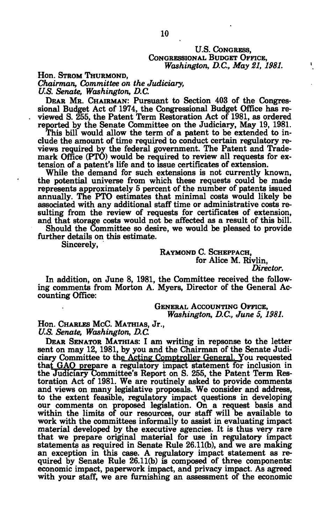### **U.S. CONGRESS, CONGRESSIONAL BUDGET OFFICE,**  *Washington, D.C., May 21, 1981.*

**Hon. STROM THURMOND,**  *Chairman, Committee on the Judiciary, U.S. Senate, Washington, D.C.* 

**DEAR MR. CHAIRMAN: Pursuant to Section 403 of the Congressional Budget Act of 1974, the Congressional Budget Office has reviewed S. 255, the Patent Term Restoration Act of 1981, as ordered reported by the Senate Committee on the Judiciary, May 19, 1981.** 

**This bill would allow the term of a patent to be extended to include the amount of time required to conduct certain regulatory reviews required by the federal government. The Patent and Trade**mark Office (PTO) would be required to review all requests for ex**tension of a patent's life and to issue certificates of extension.** 

While the demand for such extensions is not currently known, **the potential universe from which these requests could be made represents approximately 5 percent of the number of patents issued annually. The PTO estimates that minimal costs would likely be associated with any additional staff time or administrative costs resulting from the review of requests for certificates of extension, and that storage costs would not be affected as a result of this bill.** 

**Should the Committee so desire, we would be pleased to provide further details on this estimate.** 

**Sincerely,** 

**RAYMOND C. SCHEPPACH, for Alice M. Rivlin,**  *Director.* 

**In addition, on June 8, 1981, the Committee received the following comments from Morton A. Myers, Director of the General Accounting Office:** 

> **GENERAL ACCOUNTING OFFICE,**  *Washington, D.C, June 5, 1981.*

**Hon. CHARLES McC. MATHIAS, Jr.,**  *U.S. Senate, Washington, D.C.* 

**DEAR SENATOR MATHIAS: I am writing in repsonse to the letter sent on may 12, 1981, by you and the Chairman of the Senate Judiciary Committee to the Acting Comptroller General. You requested**  that GAO prepare a regulatory impact statement for inclusion in **the Judiciary Committee's Report on S. 255, the Patent Term Restoration Act of 1981. We are routinely asked to provide comments and views on many legislative proposals. We consider and address, to the extent feasible, regulatory impact questions in developing our comments on proposed legislation. On a request basis and within the limits of our resources, our staff will be available to work with the committees informally to assist in evaluating impact material developed by the executive agencies. It is thus very rare that we prepare original material for use in regulatory impact statements as required in Senate Rule 26.11(b), and we are making an exception in this case. A regulatory impact statement as required by Senate Rule 26.11(b) is composed of three components: economic impact, paperwork impact, and privacy impact. As agreed with your staff, we are furnishing an assessment of the economic**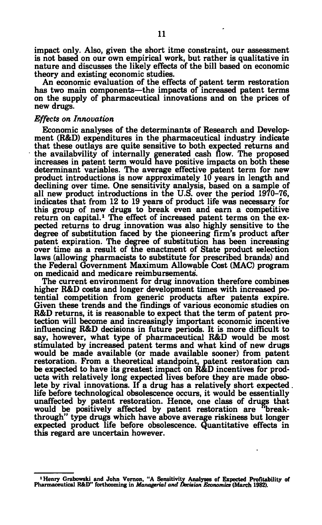**impact only. Also, given the short itme constraint, our assessment is not based on our own empirical work, but rather is qualitative in nature and discusses the likely effects of the bill based on economic theory and existing economic studies.** 

**An economic evaluation of the effects of patent term restoration has two main components—the impacts of increased patent terms on the supply of pharmaceutical innovations and on the prices of new drugs.** 

### *Effects on Innovation*

**Economic analyses of the determinants of Research and Development (R&D) expenditures in the pharmaceutical industry indicate that these outlays are quite sensitive to both expected returns and the availabvility of internally generated cash flow. The proposed increases in patent term would have positive impacts on both these determinant variables. The average effective patent term for new product introductions is now approximately 10 years in length and declining over time. One sensitivity analysis, based on a sample of all new product introductions in the U.S. over the period 1970-76, indicates that from 12 to 19 years of product life was necessary for this group of new drugs to break even and earn a competitive return on capital.<sup>1</sup> The effect of increased patent terms on the expected returns to drug innovation was also highly sensitive to the degree of substitution faced by the pioneering firm's product after patent expiration. The degree of substitution has been increasing over time as a result of the enactment of State product selection laws (allowing pharmacists to substitute for prescribed brands) and the Federal Government Maximum Allowable Cost (MAC) program on medicaid and medicare reimbursements'.** 

**The current environment for drug innovation therefore combines higher R&D costs and longer development times with increased potential competition from generic products after patents expire. Given these trends and the findings of various economic studies on R&D returns, it is reasonable to expect that the term of patent protection will become and increasingly important economic incentive influencing R&D decisions in future periods. It is more difficult to say, however, what type of pharmaceutical R&D would be most stimulated by increased patent terms and what kind of new drugs would be made available (or made available sooner) from patent restoration. From a theoretical standpoint, patent restoration can be expected to have its greatest impact on R&D incentives for products with relatively long expected lives before they are made obsolete by rival innovations. If a drug has a relatively short expected . life before technological obsolescence occurs, it would be essentially unaffected by patent restoration. Hence, one class of drugs that would be positively affected by patent restoration are breakthrough" type drugs which have above average riskiness but longer expected product life before obsolescence. Quantitative effects in this regard are uncertain however.** 

**<sup>•</sup>Henry Grabowski and John Vernon, "A Sensitivity Analyses of Expected Profitability of Pharmaceutical R&D" forthcoming in** *Managerial and Decision Economies* **(March 1982).**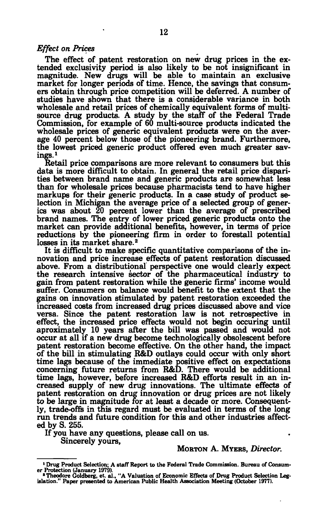### *Effect on Prices*

**The effect of patent restoration on new drug prices in the extended exclusivity period is also likely to be not insignificant in magnitude. New drugs will be able to maintain an exclusive market for longer periods of time. Hence, the savings that consumers obtain through price competition will be deferred. A number of studies have shown that there is a considerable variance in both wholesale and retail prices of chemically equivalent forms of multisource drug products. A study by the staff of the Federal Trade Commission, for example of 60 multi-source products indicated the wholesale prices of generic equivalent products were on the average 40 percent below those of the pioneering brand. Furthermore, the lowest priced generic product offered even much greater savings.<sup>1</sup>**

**Retail price comparisons are more relevant to consumers but this data is more difficult to obtain. In general the retail price disparities between brand name and generic products are somewhat less than for wholesale prices because pharmacists tend to have higher markups for their generic products. In a case study of product selection in Michigan the average price of a selected group of generics was about 20 percent lower than the average of prescribed brand names. The entry of lower priced generic products onto the market can provide additional benefits, however, in terms of price reductions by the pioneering firm in order to forestall potential losses in its market share.<sup>2</sup>**

**It is difficult to make specific quantitative comparisons of the innovation and price increase effects of patent restoration discussed above. From a distributional perspective one would clearly expect the research intensive sector of the pharmaceutical industry to gain from patent restoration while the generic firms' income would suffer. Consumers on balance would benefit to the extent that the gains on innovation stimulated by patent restoration exceeded the increased costs from increased drug prices discussed above and vice versa. Since the patent restoration law is not retrospective in effect, the increased price effects would not begin occuring until aproximately 10 years after the bill was passed and would not occur at all if a new drug become technologically obsolescent before patent restoration become effective. On the other hand, the impact of the bill in stimulating R&D outlays could occur with only short time lags because of the immediate positive effect on expectations concerning future returns from R&D. There would be additional time lags, however, before increased R&D efforts result in an increased supply of new drug innovations. The ultimate effects of patent restoration on drug innovation or drug prices are not likely to be large in magnitude for at least a decade or more. Consequently, trade-offs in this regard must be evaluated in terms of the long run trends and future condition for this and other industries affected by S. 255.** 

**If you have any questions, please call on us. Sincerely yours,** 

## **MORTON A. MYERS,** *Director.*

<sup>&</sup>lt;sup>1</sup> Drug Product Selection; A staff Report to the Federal Trade Commission. Bureau of Consum**er Protection (January 1979).** 

**<sup>&#</sup>x27;Theodore Goldberg, et. al., "A Valuation of Economic Effects of Drug Product Selection Leg-islation." Paper presented to American Public Health Association Meeting (October 1977).**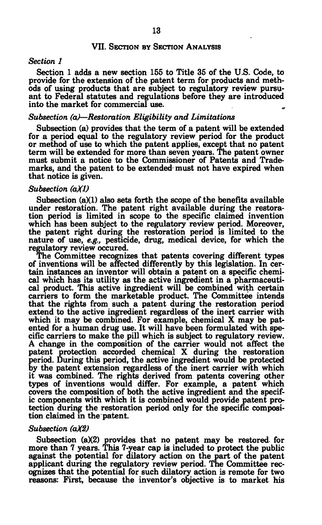### **VII. SECTION BY SECTION ANALYSIS**

#### *Section 1*

**Section 1 adds a new section 155 to Title 35 of the U.S. Code, to provide for the extension of the patent term for products and methods of using products that are subject to regulatory review pursuant to Federal statutes and regulations before they are introduced into the market for commercial use.** 

#### *Subsection (a)***—***Restoration Eligibility and Limitations*

**Subsection (a) provides that the term of a patent will be extended for a period equal to the regulatory review period for the product or method of use to which the patent applies, except that no patent term will be extended for more than seven years. The patent owner must submit a notice to the Commissioner of Patents and Trademarks, and the patent to be extended must not have expired when that notice is given.** 

### *Subsection (a)(1)*

**Subsection (a)(1) also sets forth the scope of the benefits available under restoration. The patent right available during the restoration period is limited in scope to the specific claimed invention which has been subject to the regulatory review period. Moreover, the patent right during the restoration period is limited to the nature of use,** *e.g.,* **pesticide, drug, medical device, for which the regulatory review occured.** 

**The Committee recognizes that patents covering different types of inventions will be affected differently by this legislation. In certain instances an inventor will obtain a patent on a specific chemical which has its utility as the active ingredient in a pharmaceutical product. This active ingredient will be combined with certain carriers to form the marketable product. The Committee intends that the rights from such a patent during the restoration period extend to the active ingredient regardless of the inert carrier with which it may be combined. For example, chemical X may be patented for a human drug use. It will have been formulated with specific carriers to make the pill which is subject to regulatory review. A change in the composition of the carrier would not affect the patent protection accorded chemical X during the restoration period. During this period, the active ingredient would be protected by the patent extension regardless of the inert carrier with which it was combined. The rights derived from patents covering other types of inventions would differ. For example, a patent which covers the composition of both the active ingredient and the specific components with which it is combined would provide patent protection during the restoration period only for the specific composition claimed in the patent.** 

### *Subsection (aX2)*

Subsection (a)(2) provides that no patent may be restored for **more than 7 years. This 7-year cap is included to protect the public against the potential for dilatory action on the part of the patent applicant during the regulatory review period. The Committee recognizes that the potential for such dilatory action is remote for two reasons: First, because the inventor's objective is to market his**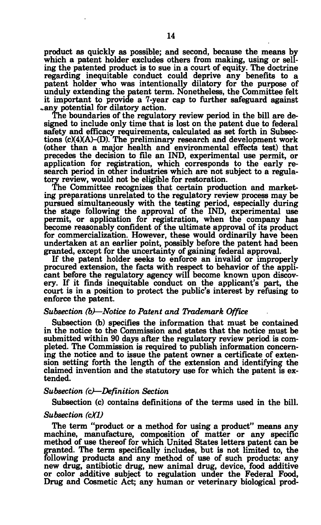**product as quickly as possible; and second, because the means by which a patent holder excludes others from making, using or selling the patented product is to sue in a court of equity. The doctrine regarding inequitable conduct could deprive any benefits to a patent holder who was intentionally dilatory for the purpose of unduly extending the patent term. Nonetheless, the Committee felt it important to provide a 7-year cap to further safeguard against «any potential for dilatory action.** 

**The boundaries of the regulatory review period in the bill are designed to include only time that is lost on the patent due to federal safety and efficacy requirements, calculated as set forth in Subsections (c)(4)(A)-(D). The preliminary research and development work (other than a major health and environmental effects test) that precedes the decision to file an IND, experimental use permit, or application for registration, which corresponds to the early research period in other industries which are not subject to a regulatory review, would not be eligible for restoration.** 

**The Committee recognizes that certain production and marketing preparations unrelated to the regulatory review process may be pursued simultaneously with the testing period, especially during the stage following the approval of the IND, experimental use permit, or application for registration, when the company has become reasonably confident of the ultimate approval of its product for commercialization. However, these would ordinarily have been undertaken at an earlier point, possibly before the patent had been granted, except for the uncertainty of gaining federal approval.** 

**If the patent holder seeks to enforce an invalid or improperly procured extension, the facts with respect to behavior of the applicant before the regulatory agency will become known upon discovery. If it finds inequitable conduct on the applicant's part, the court is in a position to protect the public's interest by refusing to enforce the patent.** 

### *Subsection (b)***—***Notice to Patent and Trademark Office*

**Subsection (b) specifies the information that must be contained in the notice to the Commission and states that the notice must be submitted within 90 days after the regulatory review period, is completed. The Commission is required to publish information concerning the notice and to issue the patent owner a certificate of extension setting forth the length of the extension and identifying the claimed invention and the statutory use for which the patent is extended.** 

#### *Subsection (c)***—***Definition Section*

**Subsection (c) contains definitions of the terms used in the bill.** 

#### *Subsection (cX1)*

**The term "product or a method for using a product" means any machine, manufacture, composition of matter or any specific method of use thereof for which United States letters patent can be granted. The term specifically includes, but is not limited to, the following products and any method of use of such products: any new drug, antibiotic drug, new animal drug, device, food additive or color additive subject to regulation under the Federal Food, Drug and Cosmetic Act; any human or veterinary biological prod-**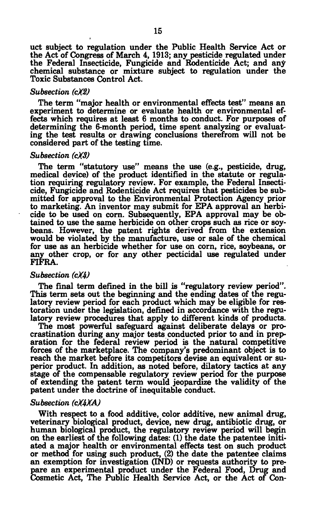**uct subject to regulation under the Public Health Service Act or the Act of Congress of March 4, 1913; any pesticide regulated under the Federal Insecticide, Fungicide and Rodenticide Act; and any chemical substance or mixture subject to regulation under the Toxic Substances Control Act.** 

#### *Subsection (cX2)*

**The term "major health or environmental effects test" means an experiment to determine or evaluate health or environmental effects which requires at least 6 months to conduct. For purposes of determining the 6-month period, time spent analyzing or evaluating the test results or drawing conclusions therefrom will not be considered part of the testing time.** 

#### *Subsection (cXS)*

**The term "statutory use" means the use (e.g., pesticide, drug, medical device) of the product identified in the statute or regulation requiring regulatory review. For example, the Federal Insecticide, Fungicide and Rodenticide Act requires that pesticides be submitted for approval to the Environmental Protection Agency prior to marketing. An inventor may submit for EPA approval an herbicide to be used on corn. Subsequently, EPA approval may be obtained to use the same herbicide on other crops such as rice or soybeans. However, the patent rights derived from the extension would be violated by the manufacture, use or sale of the chemical for use as an herbicide whether for use on corn, rice, soybeans, or any other crop, or for any other pecticidal use regulated under FIFRA.** 

### *Subsection (cXh)*

**The final term defined in the bill is "regulatory review period". This term sets out the beginning and the ending dates of the regulatory review period for each product which may be eligible for restoration under the legislation, defined in accordance with the regulatory review procedures that apply to different kinds of products.** 

**The most powerful safeguard against deliberate delays or procrastination during any major tests conducted prior to and in preparation for the federal review period is the natural competitive forces of the marketplace. The company's predominant object is to reach the market before its competitors devise an equivalent or superior product. In addition, as noted before, dilatory tactics at any stage of the compensable regulatory review period for the purpose of extending the patent term would jeopardize the validity of the patent under the doctrine of inequitable conduct.** 

#### *Subsection (cXhXA)*

**With respect to a food additive, color additive, new animal drug, veterinary biological product, device, new drug, antibiotic drug, or human biological product, the regulatory review period will begin on the earliest of the following dates: (1) the date the patentee initiated a major health or environmental effects test on such product or method for using such product, (2) the date the patentee claims an exemption for investigation (IND) or requests authority to prepare an experimental product under the Federal Food, Drug and Cosmetic Act, The Public Health Service Act, or the Act of Con-**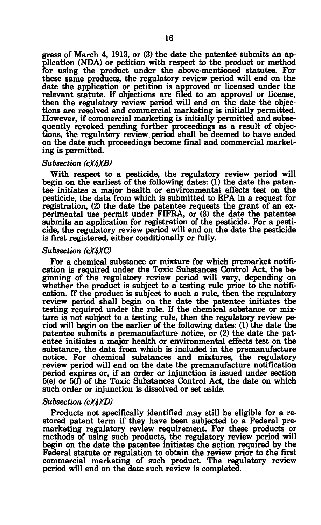**gress of March 4, 1913, or (3) the date the patentee submits an application (NDA) or petition with respect to the product or method for using the product under the above-mentioned statutes. For these same products, the regulatory review period will end on the date the application or petition is approved or licensed under the relevant statute. If objections are filed to an approval or license, then the regulatory review period will end on the date the objections are resolved and commercial marketing is initially permitted. However, if commercial marketing is initially permitted and subsequently revoked pending further proceedings as a result of objections, the regulatory review.period shall be deemed to have ended on the date such proceedings become final and commercial marketing is permitted.** 

#### *Subsection (cXhXB)*

**With respect to a pesticide, the regulatory review period will begin on the earliest of the following dates: (1) the date the patentee initiates a major health or environmental effects test on the pesticide, the data from which is submitted to EPA in a request for registration, (2) the date the patentee requests the grant of an experimental use permit under FIFRA, or (3) the date the patentee submits an application for registration of the pesticide. For a pesticide, the regulatory review period will end on the date the pesticide is first registered, either conditionally or fully.** 

#### *Subsection (cX4XC)*

**For a chemical substance or mixture for which premarket notification is required under the Toxic Substances Control Act, the beginning of the regulatory review period will vary, depending on whether the product is subject to a testing rule prior to the notification. If the product is subject to such a rule, then the regulatory review period shall begin on the date the patentee initiates the testing required under the rule. If the chemical substance or mixture is not subject to a testing rule, then the regulatory review period will begin on the earlier of the following dates: (1) the date the patentee submits a premanufacture notice, or (2) the date the patentee initiates a major health or environmental effects test on the substance, the data from which is included in the premanufacture notice. For chemical substances and mixtures, the regulatory review period will end on the date the premanufacture notification period expires or, if an order or injunction is issued under section 5(e) or 5(f) of the Toxic Substances Control Act, the date on which such order or injunction is dissolved or set aside.** 

#### *Subsection (cX4XD)*

**Products not specifically identified may still be eligible for a restored patent term if they have been subjected to a Federal premarketing regulatory review requirement. For these products or methods of using such products, the regulatory review period will begin on the date the patentee initiates the action required by the Federal statute or regulation to obtain the review prior to the first commercial marketing of such product. The regulatory review period will end on the date such review is completed.**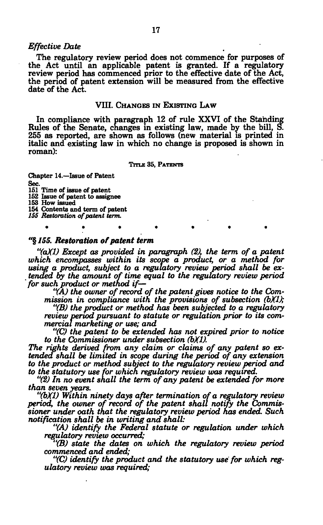#### *Effective Date*

**The regulatory review period does not commence for purposes of the Act until an applicable patent is granted. If a regulatory review period has commenced prior to the effective date of the Act, the period of patent extension will be measured from the effective date of the Act.** 

#### **VIII. CHANGES IN EXISTING LAW**

**In compliance with paragraph 12 of rule XXVI of the Standing Rules of the Senate, changes in existing law, made by the bill, S. 255 as reported, are shown as follows (new material is printed in italic and existing law in which no change is proposed is shown in roman):** 

#### **TITLE 35, PATENTS**

**Chapter 14.—Issue of Patent Sec.** 

**151 Time of issue of patent** 

**152 Issue of patent to assignee 153 How issued** 

 $\bullet$ 

**154 Contents and term of patent** 

٠

*155 Restoration of patent term.* 

#### **"§** *155. Restoration of patent term*

*"(aXD Except as provided in paragraph (2), the term of a patent which encompasses within its scope a product, or a method for using a product, subject to a regulatory review period shall be extended by the amount of time equal to the regulatory review period for such product or method if—* 

*"(A) the owner of record of the patent gives notice to the Commission in compliance with the provisions of subsection (bXV;* 

*"(B) the product or method has been subjected to a regulatory review period pursuant to statute or regulation prior to its commercial marketing or use; and* 

*"(C) the patent to be extended has not expired prior to notice to the Commissioner under subsection (b)(1).* 

*The rights derived from any claim or claims of any patent so extended shall be limited in scope during the period of any extension to the product or method subject to the regulatory review period and to the statutory use for which regulatory review was required.* 

*"(2) In no event shall the term of any patent be extended for more than seven years.* 

*"(bXV Within ninety days after termination of a regulatory review period, the owner of record of the patent shall notify the Commissioner under oath that the regulatory review period has ended. Such notification shall be in writing and shall:* 

*"(A) identify the Federal statute or regulation under which regulatory review occurred;* 

*"(B) state the dates on which the regulatory review period commenced and ended;* 

*"(C) identify the product and the statutory use for which regulatory review was required;*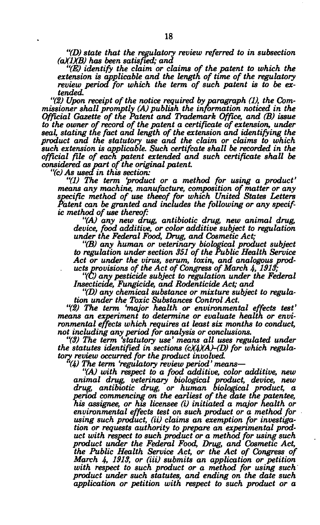*"(D) state that the regulatory review referred to in subsection (aXIXB) has been satisfied; and* 

*"(E) identify the claim or claims of the patent to which the extension is applicable and the length of time of the regulatory review period for which the term of such patent is to be extended.* 

*"(2) Upon receipt of the notice required by paragraph (1), the Commissioner shall promptly (A) publish the information noticed in the Official Gazette of the Patent and Trademark Office, and (B) issue to the owner of record of the patent a certificate of extension, under seal, stating the fact and length of the extension and identifying the product and the statutory use and the claim or claims to which such extension is applicable. Such certifcate shall be recorded in the official file of each patent extended and such certificate shall be considered as part of the original patent.* 

*"(c) As used in this section:* 

*"(1) The term product or a method for using a product' means any machine, manufacture, composition of matter or any specific method of use theeof for which United States Letters Patent can be granted and includes the following or any specific method of use thereof:* 

*"(A) any new drug, antibiotic drug, new animal drug, device, food additive, or color additive subject to regulation under the Federal Food, Drug, and Cosmetic Act;* 

*"(B) any human or veterinary biological product subject to regulation under section 351 of the Public Health Service Act or under the virus, serum, toxin, and analogous products provisions of the Act of Congress of March 4, 1913;* 

*"(C) any pesticide subject to regulation under the Federal Insecticide, Fungicide, and Rodenticide Act; and* 

*"(D) any chemical substance or mixture subject to regulation under the Toxic Substances Control Act.* 

*"(2) The term 'major health or environmental effects test' means an experiment to determine or evaluate health or environmental effects which requires at least six months to conduct, not including any period for analysis or conclusions.* 

*"(3) The term 'statutory use' means all uses regulated under the statutes identified in sections (cX4XA)-(D) for which regulatory review occurred for the product involved.* 

*"(4) The term 'regulatory review period' means*—

*"(A) with respect to a food additive, color additive, new animal drug, veterinary biological product, device, new drug, antibiotic drug, or human biological product, a period commencing on the earliest of the date the patentee, his assignee, or his licensee (i) initiated a major health or environmental effects test on such product or a method for using such product, (ii) claims an exemption for investigation or requests authority to prepare an experimental product with respect to such product or a method for using such product under the Federal Food, Drug, and Cosmetic Act, the Public Health Service Act, or the Act of Congress of March 4, 1913, or (iii) submits an application or petition with respect to such product or a method for using such product under such statutes, and ending on the date such application or petition with respect to such product or a*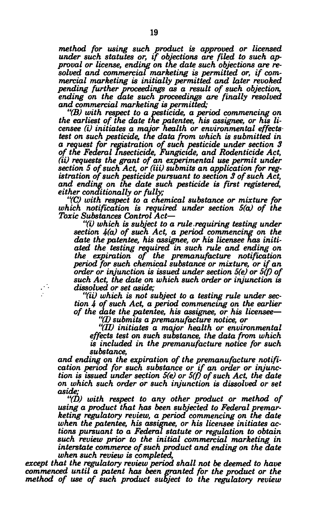*method for using such product is approved or licensed under such statutes or, if objections are filed to such approval or license, ending on the date such objections are resolved and commercial marketing is permitted or, if commercial marketing is initially permitted and later revoked pending further proceedings as a result of such objection, ending on the date such proceedings are finally resolved and commercial marketing is permitted;* 

*"(B) with respect to a pesticide, a period commencing on the earliest of the date the patentee, his assignee, or his licensee (i) initiates a major health or environmental effects test on such pesticide, the data from which is submitted in a request for registration of such pesticide under section 3 of the Federal Insecticide, Fungicide, and Rodenticide Act, (ii) requests the grant of an experimental use permit under*  section 5 of such Act, or (iii) submits an application for reg*istration of such pesticide pursuant to section 3 of such Act, and ending on the date such pesticide is first registered, either conditionally or fully;* 

*"(C) with respect to a chemical substance or mixture for which notification is required under section 5(a) of the Toxic Substances Control Act*—

*"(i) which is subject to a rule .requiring testing under section 4(a) of such Act, a period commencing on the date the patentee, his assignee, or his licensee has initiated the testing required in such rule and ending on the expiration of the premanufacture notification period for such chemical substance or mixture, or if an order or injunction is issued under section 5(e) or 5(f) of such Act, the date on which such order or injunction is dissolved or set aside;* 

*"(ii) which is not subject to a testing rule under section 4 of such Act, a period commencing on the earlier of the date the patentee, his assignee, or his licensee*—

*"(I) submits a premanufacture notice, or* 

*"(II) initiates a major health or environmental effects test on such substance, the data from which is included in the premanufacture notice for such substance,* 

*and ending on the expiration of the premanufacture notification period for such substance or if an order or injunction is issued under section 5(e) or 5(f) of such Act, the date on which such order or such injunction is dissolved or set aside;* 

*"(D) with respect to any other product or method of using a product that has been subjected to Federal premarketing regulatory review, a period commencing on the date when the patentee, his assignee, or his licensee initiates actions pursuant to a Federal statute or regulation to obtain such review prior to the initial commercial marketing in interstate commerce of such product and ending on the date when such review is completed,* 

*except that the regulatory review period shall not be deemed to have commenced until a patent has been granted for the product or the method of use of such product subject to the regulatory review*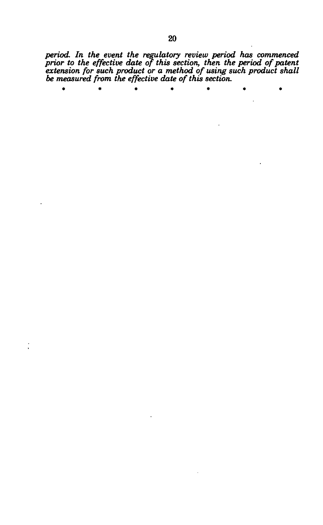*period. In the event the regulatory review period has commenced prior to the effective date of this section, then the period of patent extension for such product or a method of using such product shall be measured from the effective date of this section.* 

\*\*\*\*\*\* \* ٠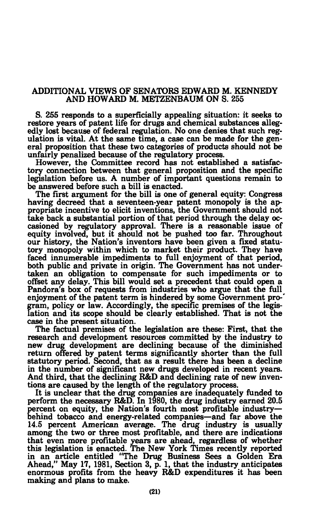## **ADDITIONAL VIEWS OF SENATORS EDWARD M. KENNEDY AND HOWARD M. METZENBAUM ON S. 255**

**S. 255 responds to a superficially appealing situation: it seeks to restore years of patent life for drugs and chemical substances allegedly lost because of federal regulation. No one denies that such regulation is vital. At the same time, a case can be made for the general proposition that these two categories of products should not be unfairly penalized because of the regulatory process.** 

**However, the Committee record has not established a satisfactory connection between that general proposition and the specific legislation before us. A number of important questions remain to be answered before such a bill is enacted.** 

**The first argument for the bill is one of general equity: Congress having decreed that a seventeen-year patent monopoly is the appropriate incentive to elicit inventions, the Government should not take back a substantial portion of that period through the delay occasioned by regulatory approval. There is a reasonable issue of equity involved, but it should not be pushed too far. Throughout our history, the Nation's inventors have been given a fixed statutory monopoly within which to market their product. They have faced innumerable impediments to full enjoyment of that period, both public and private in origin. The Government has not undertaken an obligation to compensate for such impediments or to offset any delay. This bill would set a precedent that could open a Pandora's box of requests from industries who argue that the full enjoyment of the patent term is hindered by some Government pro-' gram, policy or law. Accordingly, the specific premises of the legislation and its scope should be clearly established. That is not the case in the present situation.** 

**The factual premises of the legislation are these: First, that the research and development resources committed by the industry to new drug development are declining because of the diminished return offered by patent terms significantly shorter than the full statutory period. Second, that as a result there has been a decline in the number of significant new drugs developed in recent years. And third, that the declining R&D and declining rate of new inventions are caused by the length of the regulatory process.** 

**It is unclear that the drug companies are inadequately funded to perform the necessary R&D. In 1980, the drug industry earned 20.5 percent on equity, the Nation's fourth most profitable industry behind tobacco and energy-related companies—and far above the 14.5 percent American average. The drug industry is usually among the two or three most profitable, and there are indications that even more profitable years are ahead, regardless of whether this legislation is enacted. The New York Times recently reported in an article entitled "The Drug Business Sees a Golden Era Ahead," May 17, 1981, Section 3, p. 1, that the industry anticipates enormous profits from the heavy R&D expenditures it has been making and plans to make.**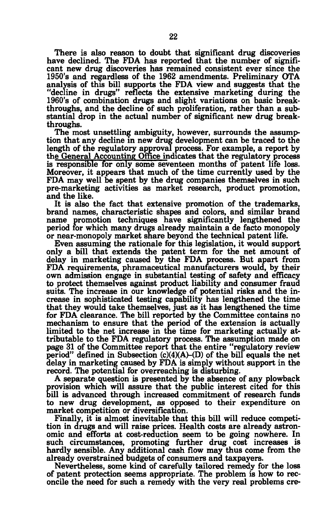**There is also reason to doubt that significant drug discoveries have declined. The FDA has reported that the number of significant new drug discoveries has remained consistent ever since the 1950's and regardless of the 1962 amendments. Preliminary OTA analysis of this bill supports the FDA view and suggests that the "decline in drugs" reflects the extensive marketing during the 1960's of combination drugs and slight variations on basic breakthroughs, and the decline of such proliferation, rather than a substantial drop in the actual number of significant new drug breakthroughs.** 

**The most unsettling ambiguity, however, surrounds the assumption that any decline in new drug development can be traced to the length of the regulatory approval process. For example, a report by the General Accounting Office indicates that the regulatory process is responsible for only some seventeen months of patent life loss. Moreover, it appears that much of the time currently used by the FDA may well be spent by the drug companies themselves in such pre-marketing activities as market research, product promotion, and the like.** 

**It is also the fact that extensive promotion of the trademarks, brand names, characteristic shapes and colors, and similar brand name promotion techniques have significantly lengthened the period for which many drugs already maintain a de facto monopoly or near-monopoly market share beyond the technical patent life.** 

**Even assuming the rationale for this legislation, it would support only a bill that extends the patent term for the net amount of delay in marketing caused by the FDA process. But apart from FDA requirements, phramaceutical manufacturers would, by their own admission engage in substantial testing of safety and efficacy to protect themselves against product liability and consumer fraud suits. The increase in our knowledge of potential risks and the increase in sophisticated testing capability has lengthened the time that they would take themselves, just as it has lengthened the time for FDA clearance. The bill reported by the Committee contains no mechanism to ensure that the period of the extension is actually limited to the net increase in the time for marketing actually attributable to the FDA regulatory process. The assumption made on page 31 of the Committee report that the entire "regulatory review**  period" defined in Subsection  $(c)(4)(A)$ - $(D)$  of the bill equals the net **delay in marketing caused by FDA is simply without support in the record. The potential for overreaching is disturbing.** 

**A separate question is presented by the absence of any plowback provision which will assure that the public interest cited for this bill is advanced through increased commitment of research funds to new drug development, as opposed to their expenditure on market competition or diversification.** 

**Finally, it is almost inevitable that this bill will reduce competition in drugs and will raise prices. Health costs are already astronomic and efforts at cost-reduction seem to be going nowhere. In**  such circumstances, promoting further drug cost increases is **hardly sensible. Any additional cash flow may thus come from the already overstrained budgets of consumers and taxpayers.** 

**Nevertheless, some kind of carefully tailored remedy for the loss of patent protection seems appropriate. The problem is how to reconcile the need for such a remedy with the very real problems ere-**